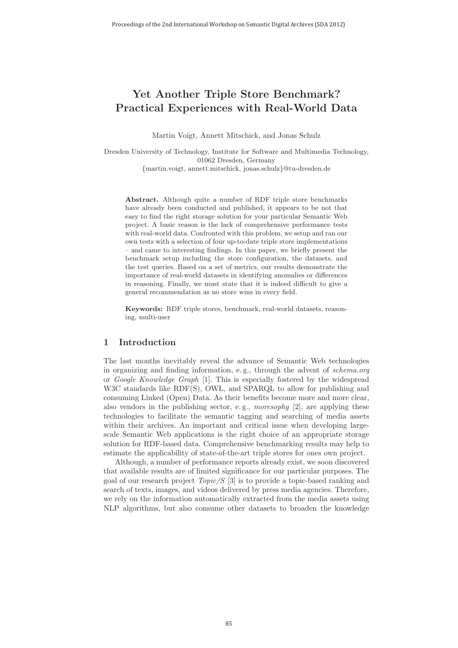# **Yet Another Triple Store Benchmark? Practical Experiences with Real-World Data**

Martin Voigt, Annett Mitschick, and Jonas Schulz

Dresden University of Technology, Institute for Software and Multimedia Technology, 01062 Dresden, Germany

{martin.voigt, annett.mitschick, jonas.schulz}@tu-dresden.de

**Abstract.** Although quite a number of RDF triple store benchmarks have already been conducted and published, it appears to be not that easy to find the right storage solution for your particular Semantic Web project. A basic reason is the lack of comprehensive performance tests with real-world data. Confronted with this problem, we setup and ran our own tests with a selection of four up-to-date triple store implementations – and came to interesting findings. In this paper, we briefly present the benchmark setup including the store configuration, the datasets, and the test queries. Based on a set of metrics, our results demonstrate the importance of real-world datasets in identifying anomalies or differences in reasoning. Finally, we must state that it is indeed difficult to give a general recommendation as no store wins in every field.

**Keywords:** RDF triple stores, benchmark, real-world datasets, reasoning, multi-user

# **1 Introduction**

The last months inevitably reveal the advance of Semantic Web technologies in organizing and finding information, e. g., through the advent of schema.org or Google Knowledge Graph [1]. This is especially fostered by the widespread W3C standards like RDF(S), OWL, and SPARQL to allow for publishing and consuming Linked (Open) Data. As their benefits become more and more clear, also vendors in the publishing sector, e. g., moresophy [2], are applying these technologies to facilitate the semantic tagging and searching of media assets within their archives. An important and critical issue when developing largescale Semantic Web applications is the right choice of an appropriate storage solution for RDF-based data. Comprehensive benchmarking results may help to estimate the applicability of state-of-the-art triple stores for ones own project.

Although, a number of performance reports already exist, we soon discovered that available results are of limited significance for our particular purposes. The goal of our research project  $Topic/S$  [3] is to provide a topic-based ranking and search of texts, images, and videos delivered by press media agencies. Therefore, we rely on the information automatically extracted from the media assets using NLP algorithms, but also consume other datasets to broaden the knowledge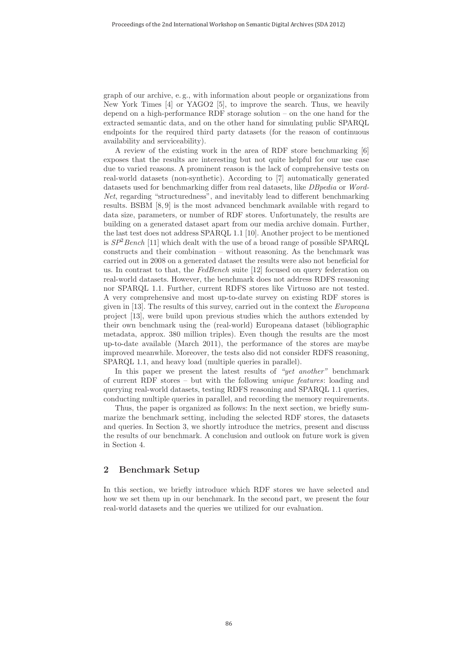graph of our archive, e. g., with information about people or organizations from New York Times [4] or YAGO2 [5], to improve the search. Thus, we heavily depend on a high-performance RDF storage solution – on the one hand for the extracted semantic data, and on the other hand for simulating public SPARQL endpoints for the required third party datasets (for the reason of continuous availability and serviceability).

A review of the existing work in the area of RDF store benchmarking [6] exposes that the results are interesting but not quite helpful for our use case due to varied reasons. A prominent reason is the lack of comprehensive tests on real-world datasets (non-synthetic). According to [7] automatically generated datasets used for benchmarking differ from real datasets, like DBpedia or Word-Net, regarding "structuredness", and inevitably lead to different benchmarking results. BSBM [8, 9] is the most advanced benchmark available with regard to data size, parameters, or number of RDF stores. Unfortunately, the results are building on a generated dataset apart from our media archive domain. Further, the last test does not address SPARQL 1.1 [10]. Another project to be mentioned is  $SP^2Bench$  [11] which dealt with the use of a broad range of possible SPARQL constructs and their combination – without reasoning. As the benchmark was carried out in 2008 on a generated dataset the results were also not beneficial for us. In contrast to that, the FedBench suite [12] focused on query federation on real-world datasets. However, the benchmark does not address RDFS reasoning nor SPARQL 1.1. Further, current RDFS stores like Virtuoso are not tested. A very comprehensive and most up-to-date survey on existing RDF stores is given in [13]. The results of this survey, carried out in the context the Europeana project [13], were build upon previous studies which the authors extended by their own benchmark using the (real-world) Europeana dataset (bibliographic metadata, approx. 380 million triples). Even though the results are the most up-to-date available (March 2011), the performance of the stores are maybe improved meanwhile. Moreover, the tests also did not consider RDFS reasoning, SPARQL 1.1, and heavy load (multiple queries in parallel).

In this paper we present the latest results of "yet another" benchmark of current RDF stores – but with the following unique features: loading and querying real-world datasets, testing RDFS reasoning and SPARQL 1.1 queries, conducting multiple queries in parallel, and recording the memory requirements.

Thus, the paper is organized as follows: In the next section, we briefly summarize the benchmark setting, including the selected RDF stores, the datasets and queries. In Section 3, we shortly introduce the metrics, present and discuss the results of our benchmark. A conclusion and outlook on future work is given in Section 4.

# **2 Benchmark Setup**

In this section, we briefly introduce which RDF stores we have selected and how we set them up in our benchmark. In the second part, we present the four real-world datasets and the queries we utilized for our evaluation.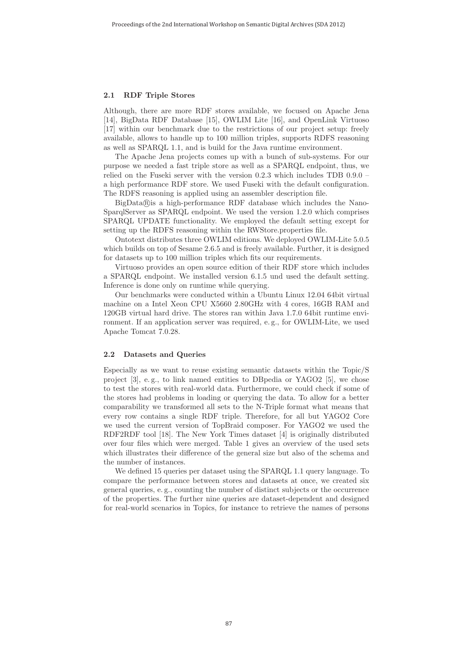#### **2.1 RDF Triple Stores**

Although, there are more RDF stores available, we focused on Apache Jena [14], BigData RDF Database [15], OWLIM Lite [16], and OpenLink Virtuoso [17] within our benchmark due to the restrictions of our project setup: freely available, allows to handle up to 100 million triples, supports RDFS reasoning as well as SPARQL 1.1, and is build for the Java runtime environment.

The Apache Jena projects comes up with a bunch of sub-systems. For our purpose we needed a fast triple store as well as a SPARQL endpoint, thus, we relied on the Fuseki server with the version 0.2.3 which includes TDB 0.9.0 – a high performance RDF store. We used Fuseki with the default configuration. The RDFS reasoning is applied using an assembler description file.

 $BigData(\widehat{R})$  is a high-performance RDF database which includes the Nano-SparqlServer as SPARQL endpoint. We used the version 1.2.0 which comprises SPARQL UPDATE functionality. We employed the default setting except for setting up the RDFS reasoning within the RWStore.properties file.

Ontotext distributes three OWLIM editions. We deployed OWLIM-Lite 5.0.5 which builds on top of Sesame 2.6.5 and is freely available. Further, it is designed for datasets up to 100 million triples which fits our requirements.

Virtuoso provides an open source edition of their RDF store which includes a SPARQL endpoint. We installed version 6.1.5 und used the default setting. Inference is done only on runtime while querying.

Our benchmarks were conducted within a Ubuntu Linux 12.04 64bit virtual machine on a Intel Xeon CPU X5660 2.80GHz with 4 cores, 16GB RAM and 120GB virtual hard drive. The stores ran within Java 1.7.0 64bit runtime environment. If an application server was required, e. g., for OWLIM-Lite, we used Apache Tomcat 7.0.28.

#### **2.2 Datasets and Queries**

Especially as we want to reuse existing semantic datasets within the Topic/S project  $[3]$ , e.g., to link named entities to DB pedia or YAGO2  $[5]$ , we chose to test the stores with real-world data. Furthermore, we could check if some of the stores had problems in loading or querying the data. To allow for a better comparability we transformed all sets to the N-Triple format what means that every row contains a single RDF triple. Therefore, for all but YAGO2 Core we used the current version of TopBraid composer. For YAGO2 we used the RDF2RDF tool [18]. The New York Times dataset [4] is originally distributed over four files which were merged. Table 1 gives an overview of the used sets which illustrates their difference of the general size but also of the schema and the number of instances.

We defined 15 queries per dataset using the SPARQL 1.1 query language. To compare the performance between stores and datasets at once, we created six general queries, e. g., counting the number of distinct subjects or the occurrence of the properties. The further nine queries are dataset-dependent and designed for real-world scenarios in Topics, for instance to retrieve the names of persons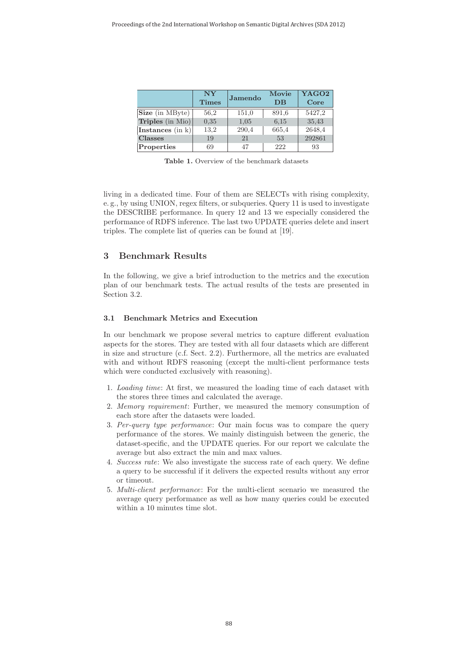|                  | $\bf NY$<br><b>Times</b> | Jamendo | Movie<br>$DB$ | YAGO2<br>Core |
|------------------|--------------------------|---------|---------------|---------------|
| Size (in MByte)  | 56,2                     | 151,0   | 891.6         | 5427,2        |
| Triples (in Mio) | 0.35                     | 1,05    | 6.15          | 35,43         |
| Instances (in k) | 13.2                     | 290,4   | 665.4         | 2648,4        |
| <b>Classes</b>   | 19                       | 21      | 53            | 292861        |
| Properties       | 69                       | 47      | 222           | 93            |

**Table 1.** Overview of the benchmark datasets

living in a dedicated time. Four of them are SELECTs with rising complexity, e. g., by using UNION, regex filters, or subqueries. Query 11 is used to investigate the DESCRIBE performance. In query 12 and 13 we especially considered the performance of RDFS inference. The last two UPDATE queries delete and insert triples. The complete list of queries can be found at [19].

# **3 Benchmark Results**

In the following, we give a brief introduction to the metrics and the execution plan of our benchmark tests. The actual results of the tests are presented in Section 3.2.

## **3.1 Benchmark Metrics and Execution**

In our benchmark we propose several metrics to capture different evaluation aspects for the stores. They are tested with all four datasets which are different in size and structure (c.f. Sect. 2.2). Furthermore, all the metrics are evaluated with and without RDFS reasoning (except the multi-client performance tests which were conducted exclusively with reasoning).

- 1. Loading time: At first, we measured the loading time of each dataset with the stores three times and calculated the average.
- 2. Memory requirement: Further, we measured the memory consumption of each store after the datasets were loaded.
- 3. Per-query type performance: Our main focus was to compare the query performance of the stores. We mainly distinguish between the generic, the dataset-specific, and the UPDATE queries. For our report we calculate the average but also extract the min and max values.
- 4. Success rate: We also investigate the success rate of each query. We define a query to be successful if it delivers the expected results without any error or timeout.
- 5. Multi-client performance: For the multi-client scenario we measured the average query performance as well as how many queries could be executed within a 10 minutes time slot.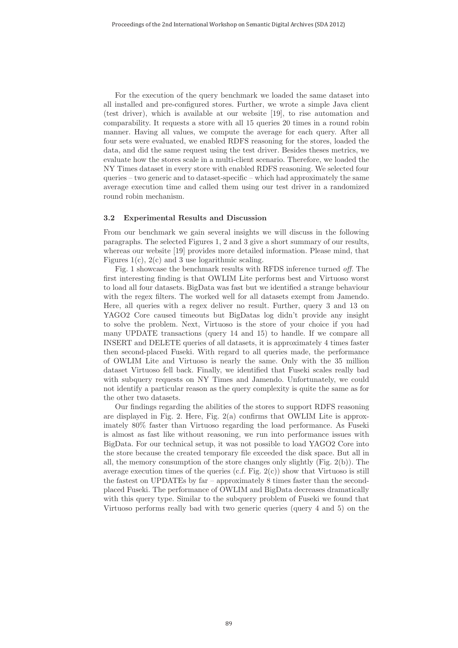For the execution of the query benchmark we loaded the same dataset into all installed and pre-configured stores. Further, we wrote a simple Java client (test driver), which is available at our website [19], to rise automation and comparability. It requests a store with all 15 queries 20 times in a round robin manner. Having all values, we compute the average for each query. After all four sets were evaluated, we enabled RDFS reasoning for the stores, loaded the data, and did the same request using the test driver. Besides theses metrics, we evaluate how the stores scale in a multi-client scenario. Therefore, we loaded the NY Times dataset in every store with enabled RDFS reasoning. We selected four queries – two generic and to dataset-specific – which had approximately the same average execution time and called them using our test driver in a randomized round robin mechanism.

#### **3.2 Experimental Results and Discussion**

From our benchmark we gain several insights we will discuss in the following paragraphs. The selected Figures 1, 2 and 3 give a short summary of our results, whereas our website [19] provides more detailed information. Please mind, that Figures 1(c),  $2(c)$  and 3 use logarithmic scaling.

Fig. 1 showcase the benchmark results with RFDS inference turned off. The first interesting finding is that OWLIM Lite performs best and Virtuoso worst to load all four datasets. BigData was fast but we identified a strange behaviour with the regex filters. The worked well for all datasets exempt from Jamendo. Here, all queries with a regex deliver no result. Further, query 3 and 13 on YAGO2 Core caused timeouts but BigDatas log didn't provide any insight to solve the problem. Next, Virtuoso is the store of your choice if you had many UPDATE transactions (query 14 and 15) to handle. If we compare all INSERT and DELETE queries of all datasets, it is approximately 4 times faster then second-placed Fuseki. With regard to all queries made, the performance of OWLIM Lite and Virtuoso is nearly the same. Only with the 35 million dataset Virtuoso fell back. Finally, we identified that Fuseki scales really bad with subquery requests on NY Times and Jamendo. Unfortunately, we could not identify a particular reason as the query complexity is quite the same as for the other two datasets.

Our findings regarding the abilities of the stores to support RDFS reasoning are displayed in Fig. 2. Here, Fig. 2(a) confirms that OWLIM Lite is approximately 80% faster than Virtuoso regarding the load performance. As Fuseki is almost as fast like without reasoning, we run into performance issues with BigData. For our technical setup, it was not possible to load YAGO2 Core into the store because the created temporary file exceeded the disk space. But all in all, the memory consumption of the store changes only slightly  $(Fig, 2(b))$ . The average execution times of the queries (c.f. Fig. 2(c)) show that Virtuoso is still the fastest on UPDATEs by far – approximately 8 times faster than the secondplaced Fuseki. The performance of OWLIM and BigData decreases dramatically with this query type. Similar to the subquery problem of Fuseki we found that Virtuoso performs really bad with two generic queries (query 4 and 5) on the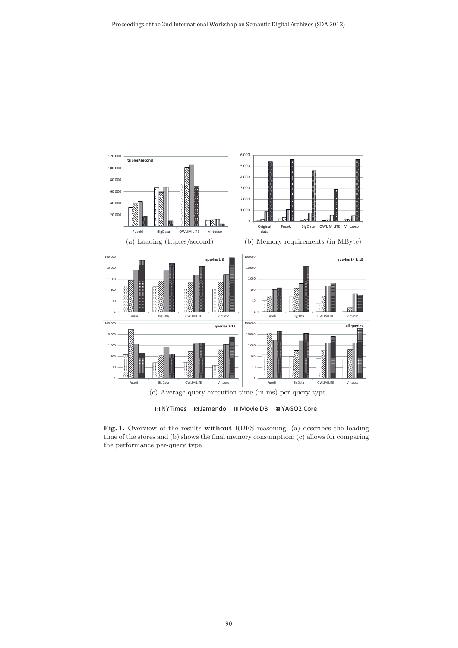

**Fig. 1.** Overview of the results **without** RDFS reasoning: (a) describes the loading time of the stores and (b) shows the final memory consumption; (c) allows for comparing the performance per-query type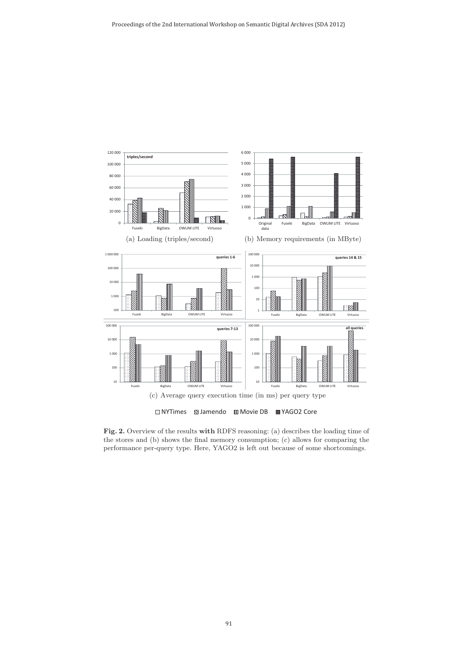

**Fig. 2.** Overview of the results **with** RDFS reasoning: (a) describes the loading time of the stores and (b) shows the final memory consumption; (c) allows for comparing the performance per-query type. Here, YAGO2 is left out because of some shortcomings.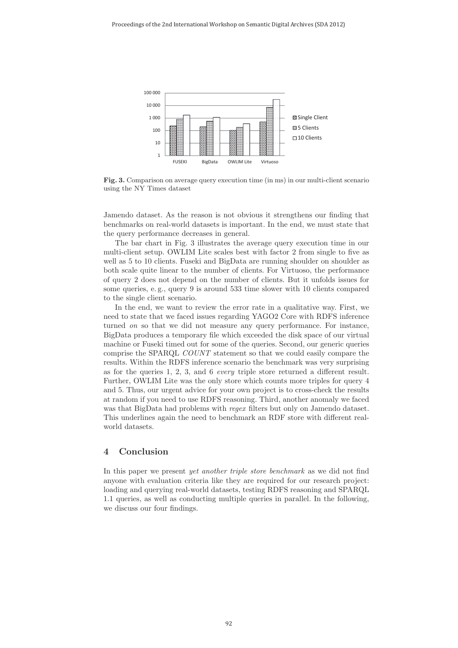

**Fig. 3.** Comparison on average query execution time (in ms) in our multi-client scenario using the NY Times dataset

Jamendo dataset. As the reason is not obvious it strengthens our finding that benchmarks on real-world datasets is important. In the end, we must state that the query performance decreases in general.

The bar chart in Fig. 3 illustrates the average query execution time in our multi-client setup. OWLIM Lite scales best with factor 2 from single to five as well as 5 to 10 clients. Fuseki and BigData are running shoulder on shoulder as both scale quite linear to the number of clients. For Virtuoso, the performance of query 2 does not depend on the number of clients. But it unfolds issues for some queries, e. g., query 9 is around 533 time slower with 10 clients compared to the single client scenario.

In the end, we want to review the error rate in a qualitative way. First, we need to state that we faced issues regarding YAGO2 Core with RDFS inference turned on so that we did not measure any query performance. For instance, BigData produces a temporary file which exceeded the disk space of our virtual machine or Fuseki timed out for some of the queries. Second, our generic queries comprise the SPARQL COUNT statement so that we could easily compare the results. Within the RDFS inference scenario the benchmark was very surprising as for the queries 1, 2, 3, and 6 every triple store returned a different result. Further, OWLIM Lite was the only store which counts more triples for query 4 and 5. Thus, our urgent advice for your own project is to cross-check the results at random if you need to use RDFS reasoning. Third, another anomaly we faced was that BigData had problems with *regex* filters but only on Jamendo dataset. This underlines again the need to benchmark an RDF store with different realworld datasets.

# **4 Conclusion**

In this paper we present yet another triple store benchmark as we did not find anyone with evaluation criteria like they are required for our research project: loading and querying real-world datasets, testing RDFS reasoning and SPARQL 1.1 queries, as well as conducting multiple queries in parallel. In the following, we discuss our four findings.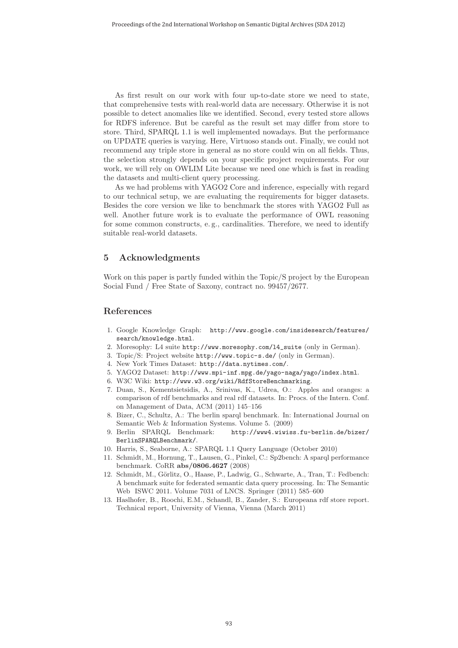As first result on our work with four up-to-date store we need to state, that comprehensive tests with real-world data are necessary. Otherwise it is not possible to detect anomalies like we identified. Second, every tested store allows for RDFS inference. But be careful as the result set may differ from store to store. Third, SPARQL 1.1 is well implemented nowadays. But the performance on UPDATE queries is varying. Here, Virtuoso stands out. Finally, we could not recommend any triple store in general as no store could win on all fields. Thus, the selection strongly depends on your specific project requirements. For our work, we will rely on OWLIM Lite because we need one which is fast in reading the datasets and multi-client query processing.

As we had problems with YAGO2 Core and inference, especially with regard to our technical setup, we are evaluating the requirements for bigger datasets. Besides the core version we like to benchmark the stores with YAGO2 Full as well. Another future work is to evaluate the performance of OWL reasoning for some common constructs, e. g., cardinalities. Therefore, we need to identify suitable real-world datasets.

## **5 Acknowledgments**

Work on this paper is partly funded within the Topic/S project by the European Social Fund / Free State of Saxony, contract no. 99457/2677.

## **References**

- 1. Google Knowledge Graph: http://www.google.com/insidesearch/features/ search/knowledge.html.
- 2. Moresophy: L4 suite http://www.moresophy.com/l4\_suite (only in German).
- 3. Topic/S: Project website http://www.topic-s.de/ (only in German).
- 4. New York Times Dataset: http://data.nytimes.com/.
- 5. YAGO2 Dataset: http://www.mpi-inf.mpg.de/yago-naga/yago/index.html.
- 6. W3C Wiki: http://www.w3.org/wiki/RdfStoreBenchmarking.
- 7. Duan, S., Kementsietsidis, A., Srinivas, K., Udrea, O.: Apples and oranges: a comparison of rdf benchmarks and real rdf datasets. In: Procs. of the Intern. Conf. on Management of Data, ACM (2011) 145–156
- 8. Bizer, C., Schultz, A.: The berlin sparql benchmark. In: International Journal on Semantic Web & Information Systems. Volume 5. (2009)
- 9. Berlin SPARQL Benchmark: http://www4.wiwiss.fu-berlin.de/bizer/ BerlinSPARQLBenchmark/.
- 10. Harris, S., Seaborne, A.: SPARQL 1.1 Query Language (October 2010)
- 11. Schmidt, M., Hornung, T., Lausen, G., Pinkel, C.: Sp2bench: A sparql performance benchmark. CoRR **abs/0806.4627** (2008)
- 12. Schmidt, M., Görlitz, O., Haase, P., Ladwig, G., Schwarte, A., Tran, T.: Fedbench: A benchmark suite for federated semantic data query processing. In: The Semantic Web ISWC 2011. Volume 7031 of LNCS. Springer (2011) 585–600
- 13. Haslhofer, B., Roochi, E.M., Schandl, B., Zander, S.: Europeana rdf store report. Technical report, University of Vienna, Vienna (March 2011)